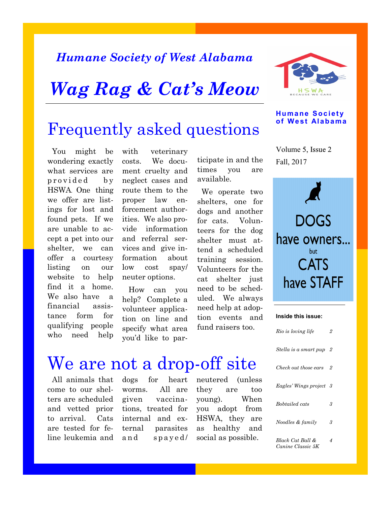### *Humane Society of West Alabama*

## *Wag Rag & Cat's Meow*



#### **Humane Society of West Alabama**

### Frequently asked questions

 You might be wondering exactly what services are provided by HSWA. One thing we offer are listings for lost and found pets. If we are unable to accept a pet into our shelter, we can offer a courtesy listing on our website to help find it a home. We also have a financial assistance form for qualifying people who need help

with veterinary costs. We document cruelty and neglect cases and route them to the proper law enforcement authorities. We also provide information and referral services and give information about low cost spay/ neuter options.

 How can you help? Complete a volunteer application on line and specify what area you'd like to participate in and the times you are available.

 We operate two shelters, one for dogs and another for cats. Volunteers for the dog shelter must attend a scheduled training session. Volunteers for the cat shelter just need to be scheduled. We always need help at adoption events and fund raisers too.

Fall, 2017 Volume 5, Issue 2

**DOGS** have owners... **CATS** have STAFF

#### **Inside this issue:**

| Rio is loving life                    | 2   |
|---------------------------------------|-----|
| Stella is a smart pup                 | - 2 |
| Check out those ears                  | 2   |
| Eagles' Wings project 3               |     |
| Bobtailed cats                        | 3   |
| Noodles & family                      | 3   |
| Black Cat Ball &<br>Canine Classic 5K | 4   |

## We are not a drop-off site

 All animals that come to our shelters are scheduled and vetted prior to arrival. Cats are tested for feline leukemia and

dogs for heart worms. All are given vaccinations, treated for internal and external parasites and spayed/

neutered (unless they are too young). When you adopt from HSWA, they are as healthy and social as possible.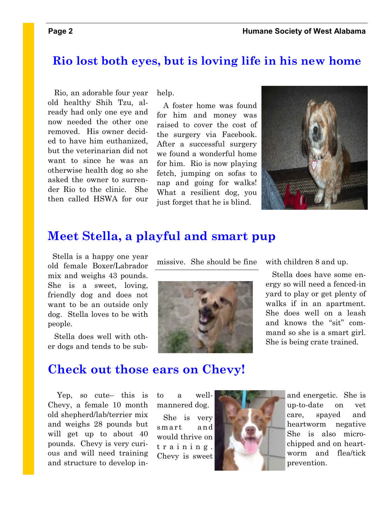#### **Rio lost both eyes, but is loving life in his new home**

 Rio, an adorable four year old healthy Shih Tzu, already had only one eye and now needed the other one removed. His owner decided to have him euthanized, but the veterinarian did not want to since he was an otherwise health dog so she asked the owner to surrender Rio to the clinic. She then called HSWA for our

help.

 A foster home was found for him and money was raised to cover the cost of the surgery via Facebook. After a successful surgery we found a wonderful home for him. Rio is now playing fetch, jumping on sofas to nap and going for walks! What a resilient dog, you just forget that he is blind.



#### **Meet Stella, a playful and smart pup**

 Stella is a happy one year old female Boxer/Labrador mix and weighs 43 pounds. She is a sweet, loving, friendly dog and does not want to be an outside only dog. Stella loves to be with people.

 Stella does well with other dogs and tends to be sub-





with children 8 and up.

 Stella does have some energy so will need a fenced-in yard to play or get plenty of walks if in an apartment. She does well on a leash and knows the "sit" command so she is a smart girl. She is being crate trained.

### **Check out those ears on Chevy!**

 Yep, so cute– this is Chevy, a female 10 month old shepherd/lab/terrier mix and weighs 28 pounds but will get up to about 40 pounds. Chevy is very curious and will need training and structure to develop into a wellmannered dog.

 She is very smart and would thrive on t r a i n i n g . Chevy is sweet



and energetic. She is up-to-date on vet care, spayed and heartworm negative She is also microchipped and on heartworm and flea/tick prevention.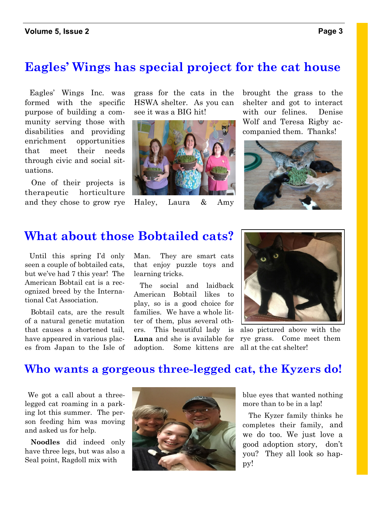#### **Eagles' Wings has special project for the cat house**

 Eagles' Wings Inc. was formed with the specific purpose of building a community serving those with disabilities and providing enrichment opportunities that meet their needs through civic and social situations.

 One of their projects is therapeutic horticulture and they chose to grow rye grass for the cats in the HSWA shelter. As you can see it was a BIG hit!



Haley, Laura & Amy

brought the grass to the shelter and got to interact with our felines. Denise Wolf and Teresa Rigby accompanied them. Thanks!



#### **What about those Bobtailed cats?**

 Until this spring I'd only seen a couple of bobtailed cats, but we've had 7 this year! The American Bobtail cat is a recognized breed by the International Cat Association.

 Bobtail cats, are the result of a natural genetic mutation that causes a shortened tail, have appeared in various places from Japan to the Isle of Man. They are smart cats that enjoy puzzle toys and learning tricks.

adoption. Some kittens are all at the cat shelter! The social and laidback American Bobtail likes to play, so is a good choice for families. We have a whole litter of them, plus several others. This beautiful lady is **Luna** and she is available for



also pictured above with the rye grass. Come meet them

#### **Who wants a gorgeous three-legged cat, the Kyzers do!**

 We got a call about a threelegged cat roaming in a parking lot this summer. The person feeding him was moving and asked us for help.

 **Noodles** did indeed only have three legs, but was also a Seal point, Ragdoll mix with



blue eyes that wanted nothing more than to be in a lap!

 The Kyzer family thinks he completes their family, and we do too. We just love a good adoption story, don't you? They all look so happy!